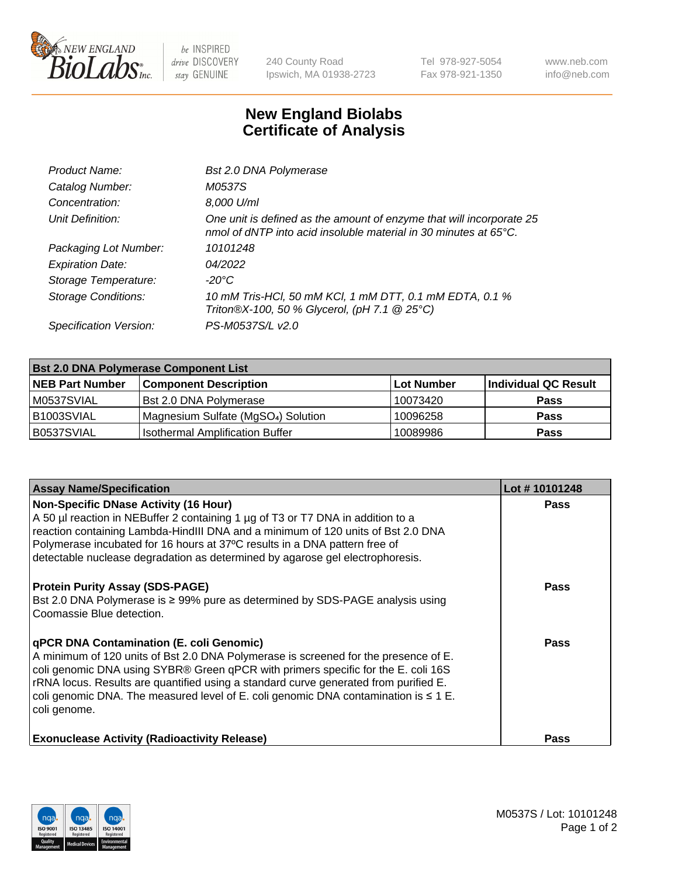

 $be$  INSPIRED drive DISCOVERY stay GENUINE

240 County Road Ipswich, MA 01938-2723 Tel 978-927-5054 Fax 978-921-1350 www.neb.com info@neb.com

## **New England Biolabs Certificate of Analysis**

| Product Name:              | Bst 2.0 DNA Polymerase                                                                                                                   |
|----------------------------|------------------------------------------------------------------------------------------------------------------------------------------|
| Catalog Number:            | <i>M0537S</i>                                                                                                                            |
| Concentration:             | 8,000 U/ml                                                                                                                               |
| Unit Definition:           | One unit is defined as the amount of enzyme that will incorporate 25<br>nmol of dNTP into acid insoluble material in 30 minutes at 65°C. |
| Packaging Lot Number:      | 10101248                                                                                                                                 |
| <b>Expiration Date:</b>    | 04/2022                                                                                                                                  |
| Storage Temperature:       | -20°C                                                                                                                                    |
| <b>Storage Conditions:</b> | 10 mM Tris-HCl, 50 mM KCl, 1 mM DTT, 0.1 mM EDTA, 0.1 %<br>Triton®X-100, 50 % Glycerol, (pH 7.1 @ 25°C)                                  |
| Specification Version:     | PS-M0537S/L v2.0                                                                                                                         |

| <b>Bst 2.0 DNA Polymerase Component List</b> |                                                 |            |                      |  |  |
|----------------------------------------------|-------------------------------------------------|------------|----------------------|--|--|
| <b>NEB Part Number</b>                       | <b>Component Description</b>                    | Lot Number | Individual QC Result |  |  |
| M0537SVIAL                                   | Bst 2.0 DNA Polymerase                          | 10073420   | <b>Pass</b>          |  |  |
| B <sub>1003</sub> SVIAL                      | Magnesium Sulfate (MgSO <sub>4</sub> ) Solution | 10096258   | <b>Pass</b>          |  |  |
| B0537SVIAL                                   | <b>Isothermal Amplification Buffer</b>          | 10089986   | <b>Pass</b>          |  |  |

| <b>Assay Name/Specification</b>                                                                                                                                                                                                                                                                                                                                                                                                 | Lot #10101248 |
|---------------------------------------------------------------------------------------------------------------------------------------------------------------------------------------------------------------------------------------------------------------------------------------------------------------------------------------------------------------------------------------------------------------------------------|---------------|
| Non-Specific DNase Activity (16 Hour)<br>A 50 µl reaction in NEBuffer 2 containing 1 µg of T3 or T7 DNA in addition to a<br>reaction containing Lambda-HindIII DNA and a minimum of 120 units of Bst 2.0 DNA<br>Polymerase incubated for 16 hours at 37°C results in a DNA pattern free of<br>detectable nuclease degradation as determined by agarose gel electrophoresis.                                                     | <b>Pass</b>   |
| <b>Protein Purity Assay (SDS-PAGE)</b><br>Bst 2.0 DNA Polymerase is ≥ 99% pure as determined by SDS-PAGE analysis using<br>Coomassie Blue detection.                                                                                                                                                                                                                                                                            | Pass          |
| <b>qPCR DNA Contamination (E. coli Genomic)</b><br>A minimum of 120 units of Bst 2.0 DNA Polymerase is screened for the presence of E.<br>coli genomic DNA using SYBR® Green qPCR with primers specific for the E. coli 16S<br>rRNA locus. Results are quantified using a standard curve generated from purified E.<br>coli genomic DNA. The measured level of E. coli genomic DNA contamination is $\leq 1$ E.<br>coli genome. | Pass          |
| <b>Exonuclease Activity (Radioactivity Release)</b>                                                                                                                                                                                                                                                                                                                                                                             | <b>Pass</b>   |